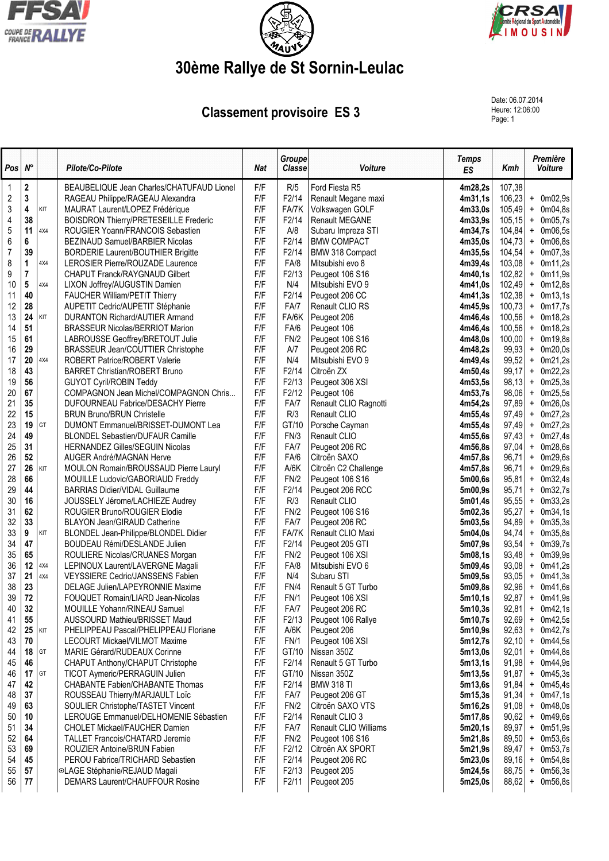





## **30ème Rallye de St Sornin-Leulac**

**Classement provisoire ES 3** 

Date: 06.07.2014 Heure: 12:06:00<br>Page: 1

| Pos              | $N^{\circ}$             |     | Pilote/Co-Pilote                                                                | Nat        | <b>Groupe</b><br><b>Classe</b> | Voiture                        | <b>Temps</b><br>ES | Kmh              |                                  | Première<br>Voiture        |
|------------------|-------------------------|-----|---------------------------------------------------------------------------------|------------|--------------------------------|--------------------------------|--------------------|------------------|----------------------------------|----------------------------|
| $\mathbf 1$      | $\mathbf 2$             |     | BEAUBELIQUE Jean Charles/CHATUFAUD Lionel                                       | F/F        | R/5                            | Ford Fiesta R5                 | 4m28,2s            | 107,38           |                                  |                            |
| $\overline{c}$   | 3                       |     | RAGEAU Philippe/RAGEAU Alexandra                                                | F/F        | F2/14                          | Renault Megane maxi            | 4m31,1s            | 106,23           |                                  | $+$ 0m02,9s                |
| 3                | 4                       | KIT | MAURAT Laurent/LOPEZ Frédérique                                                 | F/F        | FA/7K                          | Volkswagen GOLF                | 4m33,0s            | 105,49           |                                  | $+$ 0m04,8s                |
| 4                | 38                      |     | <b>BOISDRON Thierry/PRETESEILLE Frederic</b>                                    | F/F        | F2/14                          | <b>Renault MEGANE</b>          | 4m33.9s            | 105, 15          | $\begin{array}{c} + \end{array}$ | 0m05,7s                    |
| 5                | 11                      | 4X4 | ROUGIER Yoann/FRANCOIS Sebastien                                                | F/F        | A/8                            | Subaru Impreza STI             | 4m34,7s            | 104,84           |                                  | $+$ 0m06,5s                |
| 6                | 6                       |     | BEZINAUD Samuel/BARBIER Nicolas                                                 | F/F        | F2/14                          | <b>BMW COMPACT</b>             | 4m35,0s            | 104,73           | $\begin{array}{c} + \end{array}$ | 0m06,8s                    |
| $\boldsymbol{7}$ | 39                      |     | <b>BORDERIE Laurent/BOUTHIER Brigitte</b>                                       | F/F        | F2/14                          | BMW 318 Compact                | 4m35,5s            | 104,54           | $\begin{array}{c} + \end{array}$ | 0m07,3s                    |
| 8                | 1                       | 4X4 | LEROSIER Pierre/ROUZADE Laurence                                                | F/F        | FA/8                           | Mitsubishi evo 8               | 4m39,4s            | 103,08           | $\begin{array}{c} + \end{array}$ | 0m11,2s                    |
| 9                | $\overline{\mathbf{r}}$ |     | CHAPUT Franck/RAYGNAUD Gilbert                                                  | F/F        | F2/13                          | Peugeot 106 S16                | 4m40,1s            | 102,82           |                                  | $+$ 0m11,9s                |
| 10               | $5\phantom{.0}$         | 4X4 | LIXON Joffrey/AUGUSTIN Damien                                                   | F/F        | N/4                            | Mitsubishi EVO 9               | 4m41.0s            | 102,49           |                                  | $+$ 0m12,8s                |
| 11               | 40                      |     | FAUCHER William/PETIT Thierry                                                   | F/F        | F2/14                          | Peugeot 206 CC                 | 4m41,3s            | 102,38           |                                  | $+$ 0m13,1s                |
| 12               | 28                      |     | AUPETIT Cedric/AUPETIT Stéphanie                                                | F/F<br>F/F | FA/7                           | Renault CLIO RS                | 4m45,9s            | 100,73           |                                  | $+$ 0m17,7s                |
| 13<br>14         | 24<br>51                | KIT | <b>DURANTON Richard/AUTIER Armand</b><br><b>BRASSEUR Nicolas/BERRIOT Marion</b> | F/F        | FA/6K<br>FA/6                  | Peugeot 206                    | 4m46,4s<br>4m46,4s | 100,56<br>100,56 |                                  | $+$ 0m18,2s                |
| 15               | 61                      |     | LABROUSSE Geoffrey/BRETOUT Julie                                                | F/F        | FN/2                           | Peugeot 106<br>Peugeot 106 S16 | 4m48,0s            | 100,00           |                                  | $+$ 0m18,2s<br>$+$ 0m19,8s |
| 16               | 29                      |     | BRASSEUR Jean/COUTTIER Christophe                                               | F/F        | A/7                            | Peugeot 206 RC                 | 4m48,2s            | 99,93            |                                  | $+$ 0m20,0s                |
| 17               | 20                      | 4X4 | ROBERT Patrice/ROBERT Valerie                                                   | F/F        | N/4                            | Mitsubishi EVO 9               | 4m49,4s            | 99,52            |                                  | $+$ 0m21,2s                |
| 18               | 43                      |     | <b>BARRET Christian/ROBERT Bruno</b>                                            | F/F        | F2/14                          | Citroën ZX                     | 4m50,4s            | 99,17            |                                  | $+$ 0m22,2s                |
| 19               | 56                      |     | <b>GUYOT Cyril/ROBIN Teddy</b>                                                  | F/F        | F2/13                          | Peugeot 306 XSI                | 4m53,5s            | 98,13            |                                  | $+$ 0m25,3s                |
| 20               | 67                      |     | COMPAGNON Jean Michel/COMPAGNON Chris                                           | F/F        | F2/12                          | Peugeot 106                    | 4m53,7s            | 98,06            |                                  | $+$ 0m25,5s                |
| 21               | 35                      |     | <b>DUFOURNEAU Fabrice/DESACHY Pierre</b>                                        | F/F        | FA/7                           | Renault CLIO Ragnotti          | 4m54,2s            | 97,89            |                                  | $+$ 0m26,0s                |
| 22               | 15                      |     | <b>BRUN Bruno/BRUN Christelle</b>                                               | F/F        | R/3                            | Renault CLIO                   | 4m55,4s            | 97,49            |                                  | $+$ 0m27,2s                |
| 23               | 19                      | GT  | DUMONT Emmanuel/BRISSET-DUMONT Lea                                              | F/F        | GT/10                          | Porsche Cayman                 | 4m55,4s            | 97,49            | $\begin{array}{c} + \end{array}$ | 0m27,2s                    |
| 24               | 49                      |     | <b>BLONDEL Sebastien/DUFAUR Camille</b>                                         | F/F        | FN/3                           | Renault CLIO                   | 4m55,6s            | 97,43            |                                  | $+$ 0m27,4s                |
| 25               | 31                      |     | <b>HERNANDEZ Gilles/SEGUIN Nicolas</b>                                          | F/F        | FA/7                           | Peugeot 206 RC                 | 4m56,8s            | 97,04            | $\begin{array}{c} + \end{array}$ | 0m28,6s                    |
| 26               | 52                      |     | AUGER André/MAGNAN Herve                                                        | F/F        | FA/6                           | Citroën SAXO                   | 4m57,8s            | 96,71            |                                  | $+$ 0m29,6s                |
| 27               | 26                      | KIT | MOULON Romain/BROUSSAUD Pierre Lauryl                                           | F/F        | A/6K                           | Citroën C2 Challenge           | 4m57,8s            | 96,71            | $\begin{array}{c} + \end{array}$ | 0m29,6s                    |
| 28               | 66                      |     | MOUILLE Ludovic/GABORIAUD Freddy                                                | F/F        | FN/2                           | Peugeot 106 S16                | 5m00,6s            | 95,81            |                                  | $+$ 0m32,4s                |
| 29               | 44                      |     | <b>BARRIAS Didier/VIDAL Guillaume</b>                                           | F/F        | F2/14                          | Peugeot 206 RCC                | 5m00,9s            | 95,71            | $\begin{array}{c} + \end{array}$ | 0m32,7s                    |
| 30               | 16                      |     | JOUSSELY Jérome/LACHIEZE Audrey                                                 | F/F        | R/3                            | Renault CLIO                   | 5m01,4s            | 95,55            | $\pmb{+}$                        | 0m33,2s                    |
| 31               | 62                      |     | ROUGIER Bruno/ROUGIER Elodie                                                    | F/F        | FN/2                           | Peugeot 106 S16                | 5m02,3s            | 95,27            | $\pmb{+}$                        | 0m34,1s                    |
| 32               | 33                      |     | <b>BLAYON Jean/GIRAUD Catherine</b>                                             | F/F        | FA/7                           | Peugeot 206 RC                 | 5m03,5s            | 94,89            | $\begin{array}{c} + \end{array}$ | 0m35,3s                    |
| 33               | 9                       | KIT | BLONDEL Jean-Philippe/BLONDEL Didier                                            | F/F        | FA/7K                          | Renault CLIO Maxi              | 5m04,0s            | 94,74            | $\pmb{+}$                        | 0m35,8s                    |
| 34               | 47                      |     | BOUDEAU Rémi/DESLANDE Julien                                                    | F/F        | F2/14                          | Peugeot 205 GTI                | 5m07,9s            | 93,54            | $\ddot{}$                        | 0m39,7s                    |
| 35               | 65                      |     | ROULIERE Nicolas/CRUANES Morgan                                                 | F/F        | FN/2                           | Peugeot 106 XSI                | 5m08,1s            | 93,48            | $\ddag$                          | 0m39,9s                    |
| 36               | 12                      | 4X4 | LEPINOUX Laurent/LAVERGNE Magali                                                | F/F        | FA/8                           | Mitsubishi EVO 6               | 5m09,4s            | 93,08            | $\begin{array}{c} + \end{array}$ | 0m41,2s                    |
| 37               | 21                      | 4X4 | VEYSSIERE Cedric/JANSSENS Fabien                                                | F/F        | N/4                            | Subaru STI                     | 5m09,5s            | 93,05            |                                  | $+$ 0m41,3s                |
| 38               | 23                      |     | DELAGE Julien/LAPEYRONNIE Maxime                                                | F/F        | FN/4                           | Renault 5 GT Turbo             | 5m09,8s            | 92,96            |                                  | $+$ 0m41,6s                |
| 39               | 72                      |     | FOUQUET Romain/LIARD Jean-Nicolas                                               | F/F        | <b>FN/1</b>                    | Peugeot 106 XSI                | 5m10,1s            | 92,87            |                                  | $+$ 0m41,9s                |
| 40               | 32                      |     | MOUILLE Yohann/RINEAU Samuel                                                    | F/F        | FA/7                           | Peugeot 206 RC                 | 5m10,3s            | 92,81            |                                  | $+$ 0m42,1s                |
| 41               | 55                      |     | AUSSOURD Mathieu/BRISSET Maud                                                   | F/F        | F2/13                          | Peugeot 106 Rallye             | 5m10,7s            | 92,69            |                                  | $+$ 0m42,5s                |
| 42               | 25                      | KIT | PHELIPPEAU Pascal/PHELIPPEAU Floriane                                           | F/F        | A/6K                           | Peugeot 206                    | 5m10,9s            | 92,63            |                                  | $+$ 0m42,7s                |
| 43               | 70                      |     | LECOURT Mickael/VILMOT Maxime<br>MARIE Gérard/RUDEAUX Corinne                   | F/F        | FN/1<br>GT/10                  | Peugeot 106 XSI<br>Nissan 350Z | 5m12,7s            | 92,10            |                                  | $+$ 0m44,5s                |
| 44               | 18<br>46                | GT  |                                                                                 | F/F<br>F/F | F2/14                          | Renault 5 GT Turbo             | 5m13,0s<br>5m13,1s | 92,01<br>91,98   |                                  | $+$ 0m44,8s<br>$+$ 0m44,9s |
| 45               | 17                      | GT  | CHAPUT Anthony/CHAPUT Christophe<br>TICOT Aymeric/PERRAGUIN Julien              | F/F        | GT/10                          | Nissan 350Z                    |                    | 91,87            |                                  | $+$ 0m45,3s                |
| 46<br>47         | 42                      |     | CHABANTE Fabien/CHABANTE Thomas                                                 | F/F        | F2/14                          | <b>BMW 318 TI</b>              | 5m13,5s<br>5m13,6s | 91,84            |                                  | $+$ 0m45,4s                |
| 48               | 37                      |     | ROUSSEAU Thierry/MARJAULT Loïc                                                  | F/F        | FA/7                           | Peugeot 206 GT                 | 5m15,3s            | 91,34            |                                  | $+$ 0m47,1s                |
| 49               | 63                      |     | SOULIER Christophe/TASTET Vincent                                               | F/F        | FN/2                           | Citroën SAXO VTS               | 5m16,2s            | 91,08            |                                  | $+$ 0m48,0s                |
| 50               | 10                      |     | LEROUGE Emmanuel/DELHOMENIE Sébastien                                           | F/F        | F2/14                          | Renault CLIO 3                 | 5m17,8s            | 90,62            |                                  | $+$ 0m49,6s                |
| 51               | 34                      |     | CHOLET Mickael/FAUCHER Damien                                                   | F/F        | FA/7                           | Renault CLIO Williams          | 5m20,1s            | 89,97            |                                  | $+$ 0m51,9s                |
| 52               | 64                      |     | TALLET Francois/CHATARD Jeremie                                                 | F/F        | FN/2                           | Peugeot 106 S16                | 5m21,8s            | 89,50            | $+$                              | 0m53,6s                    |
| 53               | 69                      |     | ROUZIER Antoine/BRUN Fabien                                                     | F/F        | F2/12                          | Citroën AX SPORT               | 5m21,9s            | 89,47            |                                  | $+$ 0m53,7s                |
| 54               | 45                      |     | PEROU Fabrice/TRICHARD Sebastien                                                | F/F        | F2/14                          | Peugeot 206 RC                 | 5m23,0s            | 89,16            | $\ddot{}$                        | 0m54,8s                    |
| 55               | 57                      |     | ©LAGE Stéphanie/REJAUD Magali                                                   | F/F        | F2/13                          | Peugeot 205                    | 5m24,5s            | 88,75            | $\pmb{+}$                        | 0m56,3s                    |
| 56               | 77                      |     | DEMARS Laurent/CHAUFFOUR Rosine                                                 | F/F        | F2/11                          | Peugeot 205                    | 5m25,0s            | 88,62            | $\ddot{}$                        | 0m56,8s                    |
|                  |                         |     |                                                                                 |            |                                |                                |                    |                  |                                  |                            |